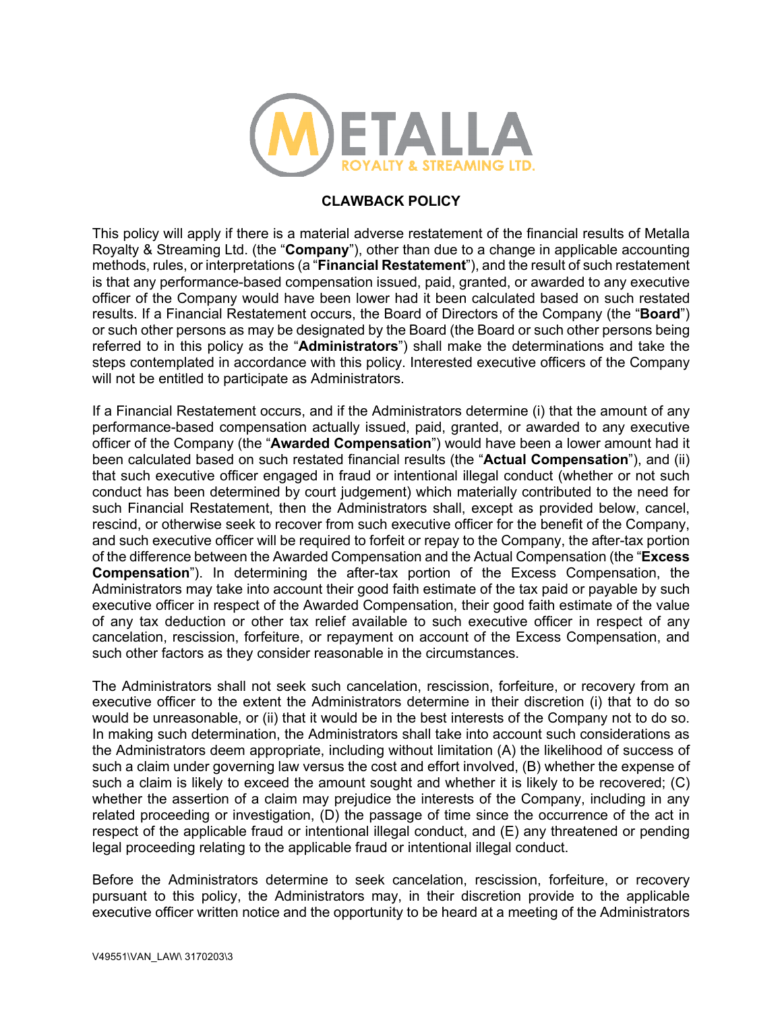

## **CLAWBACK POLICY**

This policy will apply if there is a material adverse restatement of the financial results of Metalla Royalty & Streaming Ltd. (the "**Company**"), other than due to a change in applicable accounting methods, rules, or interpretations (a "**Financial Restatement**"), and the result of such restatement is that any performance-based compensation issued, paid, granted, or awarded to any executive officer of the Company would have been lower had it been calculated based on such restated results. If a Financial Restatement occurs, the Board of Directors of the Company (the "**Board**") or such other persons as may be designated by the Board (the Board or such other persons being referred to in this policy as the "**Administrators**") shall make the determinations and take the steps contemplated in accordance with this policy. Interested executive officers of the Company will not be entitled to participate as Administrators.

If a Financial Restatement occurs, and if the Administrators determine (i) that the amount of any performance-based compensation actually issued, paid, granted, or awarded to any executive officer of the Company (the "**Awarded Compensation**") would have been a lower amount had it been calculated based on such restated financial results (the "**Actual Compensation**"), and (ii) that such executive officer engaged in fraud or intentional illegal conduct (whether or not such conduct has been determined by court judgement) which materially contributed to the need for such Financial Restatement, then the Administrators shall, except as provided below, cancel, rescind, or otherwise seek to recover from such executive officer for the benefit of the Company, and such executive officer will be required to forfeit or repay to the Company, the after-tax portion of the difference between the Awarded Compensation and the Actual Compensation (the "**Excess Compensation**"). In determining the after-tax portion of the Excess Compensation, the Administrators may take into account their good faith estimate of the tax paid or payable by such executive officer in respect of the Awarded Compensation, their good faith estimate of the value of any tax deduction or other tax relief available to such executive officer in respect of any cancelation, rescission, forfeiture, or repayment on account of the Excess Compensation, and such other factors as they consider reasonable in the circumstances.

The Administrators shall not seek such cancelation, rescission, forfeiture, or recovery from an executive officer to the extent the Administrators determine in their discretion (i) that to do so would be unreasonable, or (ii) that it would be in the best interests of the Company not to do so. In making such determination, the Administrators shall take into account such considerations as the Administrators deem appropriate, including without limitation (A) the likelihood of success of such a claim under governing law versus the cost and effort involved, (B) whether the expense of such a claim is likely to exceed the amount sought and whether it is likely to be recovered; (C) whether the assertion of a claim may prejudice the interests of the Company, including in any related proceeding or investigation, (D) the passage of time since the occurrence of the act in respect of the applicable fraud or intentional illegal conduct, and (E) any threatened or pending legal proceeding relating to the applicable fraud or intentional illegal conduct.

Before the Administrators determine to seek cancelation, rescission, forfeiture, or recovery pursuant to this policy, the Administrators may, in their discretion provide to the applicable executive officer written notice and the opportunity to be heard at a meeting of the Administrators